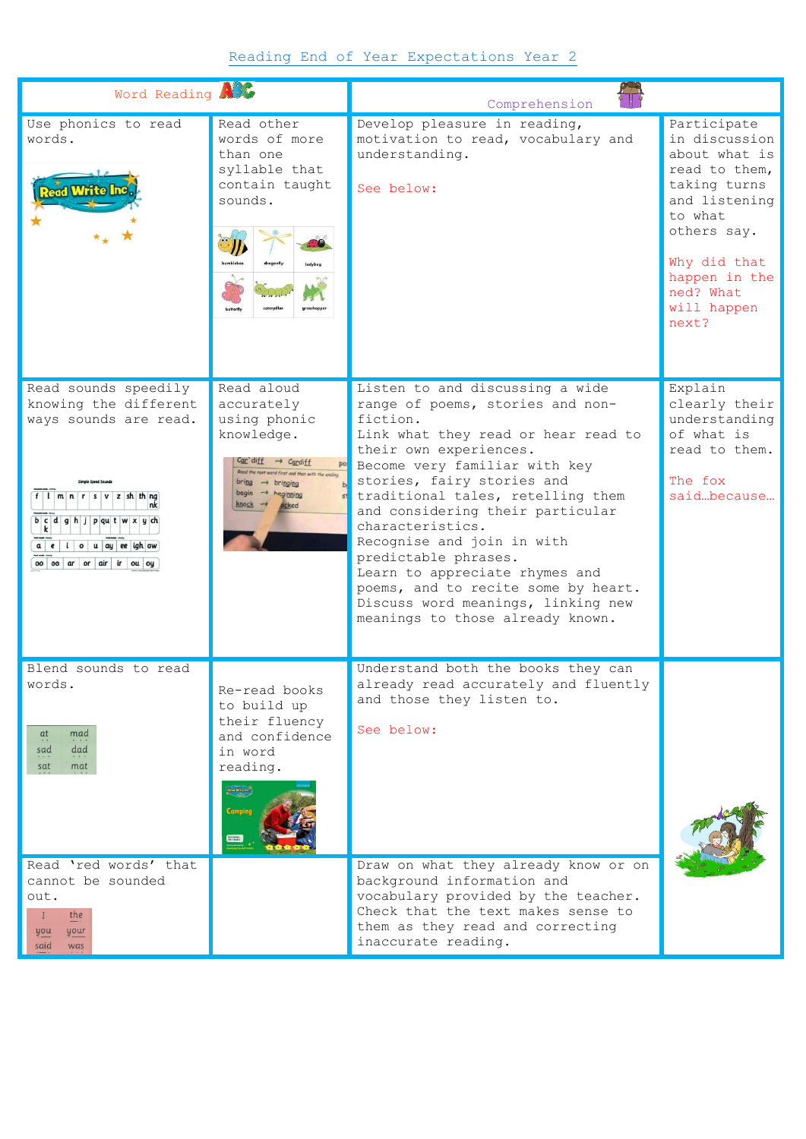## Reading End of Year Expectations Year 2

| Word Reading                                                                                                                                                                                                                                                                         |                                                                                                                                                                                                   | Comprehension                                                                                                                                                                                                                                                                                                                                                                                                                                                                                                         |                                                                                                                                                                                                 |
|--------------------------------------------------------------------------------------------------------------------------------------------------------------------------------------------------------------------------------------------------------------------------------------|---------------------------------------------------------------------------------------------------------------------------------------------------------------------------------------------------|-----------------------------------------------------------------------------------------------------------------------------------------------------------------------------------------------------------------------------------------------------------------------------------------------------------------------------------------------------------------------------------------------------------------------------------------------------------------------------------------------------------------------|-------------------------------------------------------------------------------------------------------------------------------------------------------------------------------------------------|
| Use phonics to read<br>words.<br><b>Read Write Inc</b>                                                                                                                                                                                                                               | Read other<br>words of more<br>than one<br>syllable that<br>contain taught<br>sounds.                                                                                                             | Develop pleasure in reading,<br>motivation to read, vocabulary and<br>understanding.<br>See below:                                                                                                                                                                                                                                                                                                                                                                                                                    | Participate<br>in discussion<br>about what is<br>read to them,<br>taking turns<br>and listening<br>to what<br>others say.<br>Why did that<br>happen in the<br>ned? What<br>will happen<br>next? |
| Read sounds speedily<br>knowing the different<br>ways sounds are read.<br>$f \mid \mid m \mid n \mid r \mid s \mid v \mid z \mid sh \mid th \mid nq$<br>b c d g h j p q u t w x y ch<br>$a \mid e \mid i \mid o \mid u \mid ay \mid ee \mid igh \mid ow$<br>oo oo ar or air ir ou oy | Read aloud<br>accurately<br>using phonic<br>knowledge.<br>$Car diff \rightarrow Cardiff$<br>pos<br>of word first and then with the ending<br>begin $\rightarrow$ heginning<br>$knotk \rightarrow$ | Listen to and discussing a wide<br>range of poems, stories and non-<br>fiction.<br>Link what they read or hear read to<br>their own experiences.<br>Become very familiar with key<br>stories, fairy stories and<br>traditional tales, retelling them<br>and considering their particular<br>characteristics.<br>Recognise and join in with<br>predictable phrases.<br>Learn to appreciate rhymes and<br>poems, and to recite some by heart.<br>Discuss word meanings, linking new<br>meanings to those already known. | Explain<br>clearly their<br>understanding<br>of what is<br>read to them.<br>The fox<br>saidbecause                                                                                              |
| Blend sounds to read<br>words<br>mad<br>at<br>dad<br>sad<br>sat<br>mat<br>Read 'red words' that                                                                                                                                                                                      | Re-read books<br>to build up<br>their fluency<br>and confidence<br>in word<br>reading.                                                                                                            | Understand both the books they can<br>already read accurately and fluently<br>and those they listen to.<br>See below:<br>Draw on what they already know or on                                                                                                                                                                                                                                                                                                                                                         |                                                                                                                                                                                                 |
| cannot be sounded<br>out.<br>the<br>$\mathbf{I}$<br>your<br>you<br>said<br>was                                                                                                                                                                                                       |                                                                                                                                                                                                   | background information and<br>vocabulary provided by the teacher.<br>Check that the text makes sense to<br>them as they read and correcting<br>inaccurate reading.                                                                                                                                                                                                                                                                                                                                                    |                                                                                                                                                                                                 |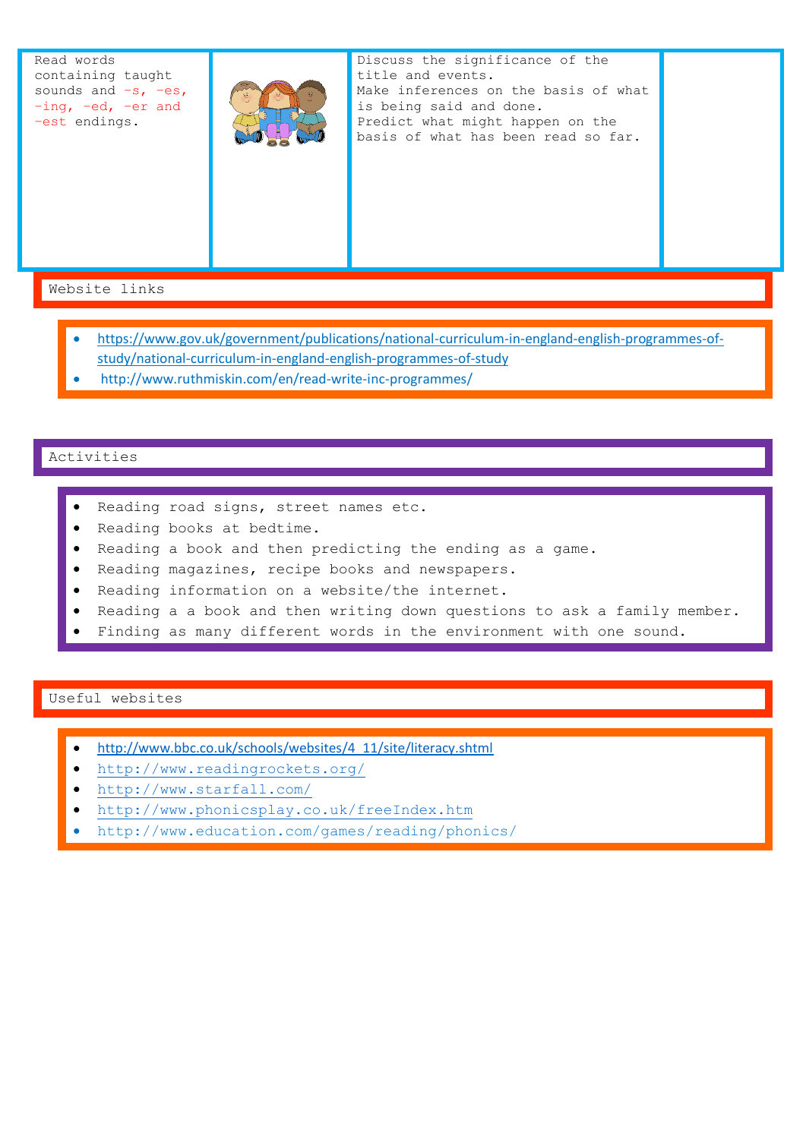Read words containing taught sounds and  $-s$ ,  $-es$ , –ing, –ed, –er and –est endings.



Discuss the significance of the title and events. Make inferences on the basis of what is being said and done. Predict what might happen on the basis of what has been read so far.

Website links

- [https://www.gov.uk/government/publications/national-curriculum-in-england-english-programmes-of](https://www.gov.uk/government/publications/national-curriculum-in-england-english-programmes-of-study/national-curriculum-in-england-english-programmes-of-study)[study/national-curriculum-in-england-english-programmes-of-study](https://www.gov.uk/government/publications/national-curriculum-in-england-english-programmes-of-study/national-curriculum-in-england-english-programmes-of-study)
- http://www.ruthmiskin.com/en/read-write-inc-programmes/

## Activities

- Reading road signs, street names etc.
- Reading books at bedtime.
- Reading a book and then predicting the ending as a game.
- Reading magazines, recipe books and newspapers.
- Reading information on a website/the internet.
- Reading a a book and then writing down questions to ask a family member.
- Finding as many different words in the environment with one sound.

## Useful websites

- [http://www.bbc.co.uk/schools/websites/4\\_11/site/literacy.shtml](http://www.bbc.co.uk/schools/websites/4_11/site/literacy.shtml)
- <http://www.readingrockets.org/>
- <http://www.starfall.com/>
- <http://www.phonicsplay.co.uk/freeIndex.htm>
- http://www.education.com/games/reading/phonics/